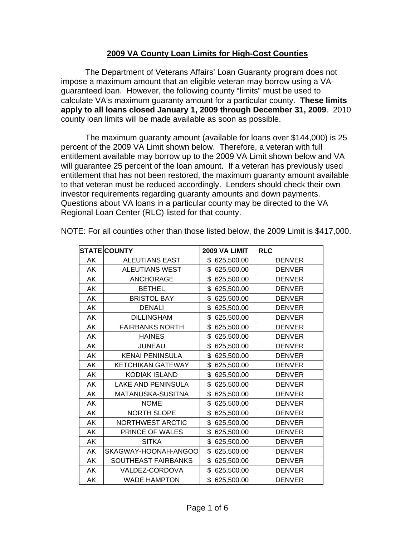## **2009 VA County Loan Limits for High-Cost Counties**

 The Department of Veterans Affairs' Loan Guaranty program does not impose a maximum amount that an eligible veteran may borrow using a VAguaranteed loan. However, the following county "limits" must be used to calculate VA's maximum guaranty amount for a particular county. **These limits apply to all loans closed January 1, 2009 through December 31, 2009**. 2010 county loan limits will be made available as soon as possible.

The maximum guaranty amount (available for loans over \$144,000) is 25 percent of the 2009 VA Limit shown below. Therefore, a veteran with full entitlement available may borrow up to the 2009 VA Limit shown below and VA will guarantee 25 percent of the loan amount. If a veteran has previously used entitlement that has not been restored, the maximum guaranty amount available to that veteran must be reduced accordingly. Lenders should check their own investor requirements regarding guaranty amounts and down payments. Questions about VA loans in a particular county may be directed to the VA Regional Loan Center (RLC) listed for that county.

|    | <b>STATE COUNTY</b>      | 2009 VA LIMIT    | <b>RLC</b>    |
|----|--------------------------|------------------|---------------|
| AK | <b>ALEUTIANS EAST</b>    | \$ 625,500.00    | <b>DENVER</b> |
| AK | <b>ALEUTIANS WEST</b>    | \$625,500.00     | <b>DENVER</b> |
| AK | <b>ANCHORAGE</b>         | \$625,500.00     | <b>DENVER</b> |
| AK | <b>BETHEL</b>            | \$<br>625,500.00 | <b>DENVER</b> |
| AK | <b>BRISTOL BAY</b>       | \$<br>625,500.00 | <b>DENVER</b> |
| AK | <b>DENALI</b>            | \$<br>625,500.00 | <b>DENVER</b> |
| AK | <b>DILLINGHAM</b>        | \$<br>625,500.00 | <b>DENVER</b> |
| AK | <b>FAIRBANKS NORTH</b>   | \$<br>625,500.00 | <b>DENVER</b> |
| AK | <b>HAINES</b>            | \$<br>625,500.00 | <b>DENVER</b> |
| AK | <b>JUNEAU</b>            | \$<br>625,500.00 | <b>DENVER</b> |
| AK | <b>KENAI PENINSULA</b>   | \$<br>625,500.00 | <b>DENVER</b> |
| AK | <b>KETCHIKAN GATEWAY</b> | \$<br>625,500.00 | <b>DENVER</b> |
| AK | <b>KODIAK ISLAND</b>     | \$<br>625,500.00 | <b>DENVER</b> |
| AK | LAKE AND PENINSULA       | \$<br>625,500.00 | <b>DENVER</b> |
| AK | MATANUSKA-SUSITNA        | \$<br>625,500.00 | <b>DENVER</b> |
| AK | <b>NOME</b>              | \$<br>625,500.00 | <b>DENVER</b> |
| AK | <b>NORTH SLOPE</b>       | \$<br>625,500.00 | <b>DENVER</b> |
| AK | NORTHWEST ARCTIC         | \$<br>625,500.00 | <b>DENVER</b> |
| AK | PRINCE OF WALES          | \$<br>625,500.00 | <b>DENVER</b> |
| AK | <b>SITKA</b>             | \$<br>625,500.00 | <b>DENVER</b> |
| AK | SKAGWAY-HOONAH-ANGOO     | \$<br>625,500.00 | <b>DENVER</b> |
| AK | SOUTHEAST FAIRBANKS      | \$<br>625,500.00 | <b>DENVER</b> |
| AK | VALDEZ-CORDOVA           | \$<br>625,500.00 | <b>DENVER</b> |
| AΚ | <b>WADE HAMPTON</b>      | \$<br>625,500.00 | <b>DENVER</b> |

NOTE: For all counties other than those listed below, the 2009 Limit is \$417,000.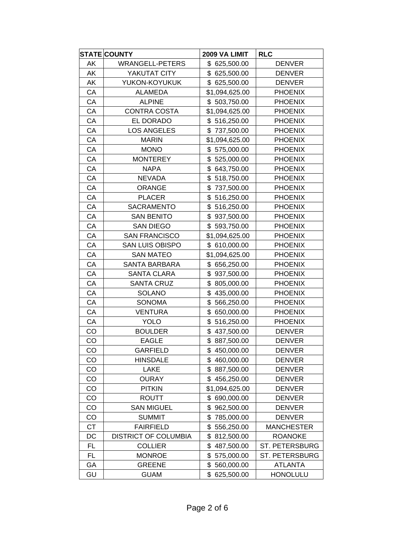|           | <b>STATE COUNTY</b>         | 2009 VA LIMIT    | <b>RLC</b>        |
|-----------|-----------------------------|------------------|-------------------|
| AK        | <b>WRANGELL-PETERS</b>      | \$ 625,500.00    | <b>DENVER</b>     |
| AΚ        | YAKUTAT CITY                | \$ 625,500.00    | <b>DENVER</b>     |
| AK        | YUKON-KOYUKUK               | \$625,500.00     | <b>DENVER</b>     |
| CA        | <b>ALAMEDA</b>              | \$1,094,625.00   | <b>PHOENIX</b>    |
| СA        | <b>ALPINE</b>               | \$503,750.00     | <b>PHOENIX</b>    |
| CA        | <b>CONTRA COSTA</b>         | \$1,094,625.00   | <b>PHOENIX</b>    |
| CA        | EL DORADO                   | \$516,250.00     | <b>PHOENIX</b>    |
| СA        | <b>LOS ANGELES</b>          | \$737,500.00     | <b>PHOENIX</b>    |
| CA        | <b>MARIN</b>                | \$1,094,625.00   | <b>PHOENIX</b>    |
| CA        | <b>MONO</b>                 | \$575,000.00     | <b>PHOENIX</b>    |
| CA        | <b>MONTEREY</b>             | \$525,000.00     | <b>PHOENIX</b>    |
| CA        | <b>NAPA</b>                 | \$643,750.00     | <b>PHOENIX</b>    |
| CA        | <b>NEVADA</b>               | \$518,750.00     | <b>PHOENIX</b>    |
| CA        | <b>ORANGE</b>               | \$<br>737,500.00 | <b>PHOENIX</b>    |
| CA        | <b>PLACER</b>               | \$<br>516,250.00 | <b>PHOENIX</b>    |
| CA        | <b>SACRAMENTO</b>           | \$<br>516,250.00 | <b>PHOENIX</b>    |
| CA        | <b>SAN BENITO</b>           | \$937,500.00     | <b>PHOENIX</b>    |
| СA        | <b>SAN DIEGO</b>            | \$593,750.00     | <b>PHOENIX</b>    |
| CA        | <b>SAN FRANCISCO</b>        | \$1,094,625.00   | <b>PHOENIX</b>    |
| CA        | <b>SAN LUIS OBISPO</b>      | \$610,000.00     | <b>PHOENIX</b>    |
| CA        | <b>SAN MATEO</b>            | \$1,094,625.00   | <b>PHOENIX</b>    |
| CA        | <b>SANTA BARBARA</b>        | \$656,250.00     | <b>PHOENIX</b>    |
| CA        | SANTA CLARA                 | \$937,500.00     | <b>PHOENIX</b>    |
| CA        | <b>SANTA CRUZ</b>           | \$<br>805,000.00 | <b>PHOENIX</b>    |
| СA        | <b>SOLANO</b>               | \$<br>435,000.00 | <b>PHOENIX</b>    |
| CA        | <b>SONOMA</b>               | \$<br>566,250.00 | <b>PHOENIX</b>    |
| CA        | <b>VENTURA</b>              | \$<br>650,000.00 | <b>PHOENIX</b>    |
| СA        | <b>YOLO</b>                 | \$<br>516,250.00 | <b>PHOENIX</b>    |
| CO        | <b>BOULDER</b>              | \$437,500.00     | <b>DENVER</b>     |
| CO        | <b>EAGLE</b>                | \$887,500.00     | <b>DENVER</b>     |
| CO        | <b>GARFIELD</b>             | \$450,000.00     | <b>DENVER</b>     |
| CO        | <b>HINSDALE</b>             | \$460,000.00     | <b>DENVER</b>     |
| CO        | LAKE                        | \$<br>887,500.00 | <b>DENVER</b>     |
| CO        | <b>OURAY</b>                | \$<br>456,250.00 | <b>DENVER</b>     |
| CO        | <b>PITKIN</b>               | \$1,094,625.00   | <b>DENVER</b>     |
| CO        | <b>ROUTT</b>                | \$690,000.00     | <b>DENVER</b>     |
| CO        | <b>SAN MIGUEL</b>           | \$<br>962,500.00 | <b>DENVER</b>     |
| CO        | <b>SUMMIT</b>               | \$<br>785,000.00 | <b>DENVER</b>     |
| <b>CT</b> | <b>FAIRFIELD</b>            | \$<br>556,250.00 | <b>MANCHESTER</b> |
| DC        | <b>DISTRICT OF COLUMBIA</b> | \$<br>812,500.00 | <b>ROANOKE</b>    |
| FL.       | <b>COLLIER</b>              | \$<br>487,500.00 | ST. PETERSBURG    |
| FL        | <b>MONROE</b>               | \$<br>575,000.00 | ST. PETERSBURG    |
| GA        | <b>GREENE</b>               | \$<br>560,000.00 | <b>ATLANTA</b>    |
| GU        | <b>GUAM</b>                 | \$<br>625,500.00 | <b>HONOLULU</b>   |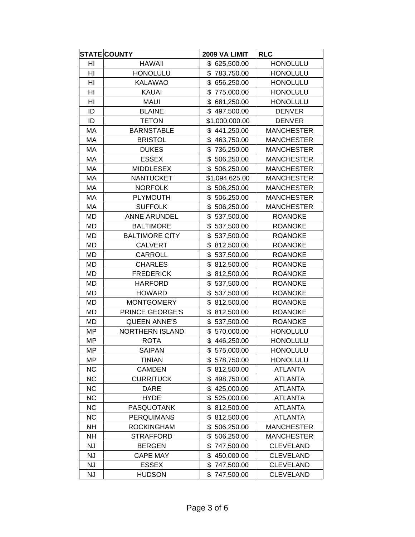|           | <b>STATE COUNTY</b>   | 2009 VA LIMIT    | <b>RLC</b>        |
|-----------|-----------------------|------------------|-------------------|
| HI        | <b>HAWAII</b>         | \$ 625,500.00    | <b>HONOLULU</b>   |
| HI        | <b>HONOLULU</b>       | \$783,750.00     | <b>HONOLULU</b>   |
| HI        | <b>KALAWAO</b>        | 656,250.00<br>\$ | <b>HONOLULU</b>   |
| HI        | <b>KAUAI</b>          | \$<br>775,000.00 | <b>HONOLULU</b>   |
| HI        | <b>MAUI</b>           | \$<br>681,250.00 | <b>HONOLULU</b>   |
| ID        | <b>BLAINE</b>         | \$<br>497,500.00 | <b>DENVER</b>     |
| ID        | <b>TETON</b>          | \$1,000,000.00   | <b>DENVER</b>     |
| МA        | <b>BARNSTABLE</b>     | \$<br>441,250.00 | <b>MANCHESTER</b> |
| MA        | <b>BRISTOL</b>        | \$<br>463,750.00 | <b>MANCHESTER</b> |
| МA        | <b>DUKES</b>          | \$<br>736,250.00 | <b>MANCHESTER</b> |
| МA        | <b>ESSEX</b>          | \$<br>506,250.00 | <b>MANCHESTER</b> |
| MA        | <b>MIDDLESEX</b>      | \$<br>506,250.00 | <b>MANCHESTER</b> |
| МA        | <b>NANTUCKET</b>      | \$1,094,625.00   | <b>MANCHESTER</b> |
| MA        | <b>NORFOLK</b>        | \$<br>506,250.00 | <b>MANCHESTER</b> |
| MA        | <b>PLYMOUTH</b>       | \$<br>506,250.00 | <b>MANCHESTER</b> |
| MA        | <b>SUFFOLK</b>        | \$<br>506,250.00 | <b>MANCHESTER</b> |
| <b>MD</b> | <b>ANNE ARUNDEL</b>   | \$<br>537,500.00 | <b>ROANOKE</b>    |
| MD        | <b>BALTIMORE</b>      | \$<br>537,500.00 | <b>ROANOKE</b>    |
| MD        | <b>BALTIMORE CITY</b> | \$<br>537,500.00 | <b>ROANOKE</b>    |
| <b>MD</b> | <b>CALVERT</b>        | \$<br>812,500.00 | <b>ROANOKE</b>    |
| MD        | CARROLL               | \$<br>537,500.00 | <b>ROANOKE</b>    |
| MD        | <b>CHARLES</b>        | \$<br>812,500.00 | <b>ROANOKE</b>    |
| <b>MD</b> | <b>FREDERICK</b>      | \$<br>812,500.00 | <b>ROANOKE</b>    |
| <b>MD</b> | <b>HARFORD</b>        | \$<br>537,500.00 | <b>ROANOKE</b>    |
| MD        | <b>HOWARD</b>         | \$<br>537,500.00 | <b>ROANOKE</b>    |
| <b>MD</b> | <b>MONTGOMERY</b>     | \$<br>812,500.00 | <b>ROANOKE</b>    |
| <b>MD</b> | PRINCE GEORGE'S       | \$<br>812,500.00 | <b>ROANOKE</b>    |
| MD        | <b>QUEEN ANNE'S</b>   | \$<br>537,500.00 | <b>ROANOKE</b>    |
| MP        | NORTHERN ISLAND       | \$<br>570,000.00 | <b>HONOLULU</b>   |
| MP        | <b>ROTA</b>           | \$<br>446,250.00 | <b>HONOLULU</b>   |
| <b>MP</b> | <b>SAIPAN</b>         | \$575,000.00     | <b>HONOLULU</b>   |
| MP        | <b>TINIAN</b>         | \$578,750.00     | <b>HONOLULU</b>   |
| <b>NC</b> | <b>CAMDEN</b>         | \$<br>812,500.00 | <b>ATLANTA</b>    |
| <b>NC</b> | <b>CURRITUCK</b>      | \$<br>498,750.00 | <b>ATLANTA</b>    |
| <b>NC</b> | <b>DARE</b>           | \$<br>425,000.00 | <b>ATLANTA</b>    |
| <b>NC</b> | <b>HYDE</b>           | \$<br>525,000.00 | <b>ATLANTA</b>    |
| <b>NC</b> | <b>PASQUOTANK</b>     | \$<br>812,500.00 | <b>ATLANTA</b>    |
| <b>NC</b> | <b>PERQUIMANS</b>     | \$<br>812,500.00 | <b>ATLANTA</b>    |
| <b>NH</b> | <b>ROCKINGHAM</b>     | \$<br>506,250.00 | <b>MANCHESTER</b> |
| NΗ        | <b>STRAFFORD</b>      | \$<br>506,250.00 | <b>MANCHESTER</b> |
| <b>NJ</b> | <b>BERGEN</b>         | \$<br>747,500.00 | <b>CLEVELAND</b>  |
| <b>NJ</b> | <b>CAPE MAY</b>       | \$<br>450,000.00 | <b>CLEVELAND</b>  |
| <b>NJ</b> | <b>ESSEX</b>          | \$<br>747,500.00 | <b>CLEVELAND</b>  |
| <b>NJ</b> | <b>HUDSON</b>         | \$<br>747,500.00 | <b>CLEVELAND</b>  |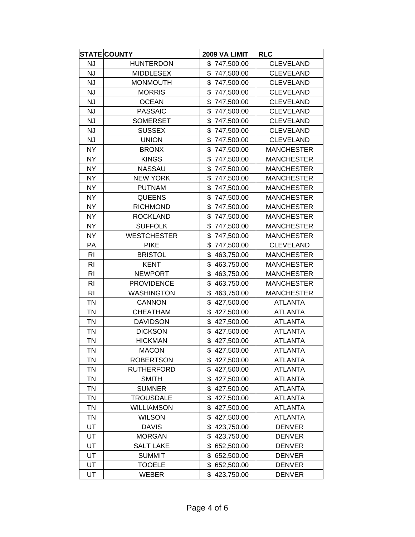|                | <b>STATE COUNTY</b> | 2009 VA LIMIT    | <b>RLC</b>        |
|----------------|---------------------|------------------|-------------------|
| <b>NJ</b>      | <b>HUNTERDON</b>    | \$747,500.00     | <b>CLEVELAND</b>  |
| <b>NJ</b>      | <b>MIDDLESEX</b>    | \$747,500.00     | <b>CLEVELAND</b>  |
| <b>NJ</b>      | <b>MONMOUTH</b>     | \$<br>747,500.00 | <b>CLEVELAND</b>  |
| <b>NJ</b>      | <b>MORRIS</b>       | \$<br>747,500.00 | <b>CLEVELAND</b>  |
| <b>NJ</b>      | <b>OCEAN</b>        | \$<br>747,500.00 | <b>CLEVELAND</b>  |
| <b>NJ</b>      | <b>PASSAIC</b>      | \$<br>747,500.00 | <b>CLEVELAND</b>  |
| <b>NJ</b>      | <b>SOMERSET</b>     | \$<br>747,500.00 | <b>CLEVELAND</b>  |
| <b>NJ</b>      | <b>SUSSEX</b>       | \$<br>747,500.00 | <b>CLEVELAND</b>  |
| <b>NJ</b>      | <b>UNION</b>        | \$<br>747,500.00 | <b>CLEVELAND</b>  |
| <b>NY</b>      | <b>BRONX</b>        | \$<br>747,500.00 | <b>MANCHESTER</b> |
| <b>NY</b>      | <b>KINGS</b>        | \$<br>747,500.00 | <b>MANCHESTER</b> |
| <b>NY</b>      | <b>NASSAU</b>       | \$747,500.00     | <b>MANCHESTER</b> |
| <b>NY</b>      | <b>NEW YORK</b>     | 747,500.00<br>\$ | <b>MANCHESTER</b> |
| <b>NY</b>      | <b>PUTNAM</b>       | \$<br>747,500.00 | <b>MANCHESTER</b> |
| <b>NY</b>      | <b>QUEENS</b>       | \$<br>747,500.00 | <b>MANCHESTER</b> |
| <b>NY</b>      | <b>RICHMOND</b>     | \$<br>747,500.00 | <b>MANCHESTER</b> |
| <b>NY</b>      | <b>ROCKLAND</b>     | \$<br>747,500.00 | <b>MANCHESTER</b> |
| <b>NY</b>      | <b>SUFFOLK</b>      | \$<br>747,500.00 | <b>MANCHESTER</b> |
| <b>NY</b>      | <b>WESTCHESTER</b>  | \$<br>747,500.00 | <b>MANCHESTER</b> |
| PA             | <b>PIKE</b>         | \$<br>747,500.00 | <b>CLEVELAND</b>  |
| R <sub>1</sub> | <b>BRISTOL</b>      | \$<br>463,750.00 | <b>MANCHESTER</b> |
| R <sub>l</sub> | <b>KENT</b>         | \$<br>463,750.00 | <b>MANCHESTER</b> |
| R <sub>l</sub> | <b>NEWPORT</b>      | \$<br>463,750.00 | <b>MANCHESTER</b> |
| R <sub>l</sub> | <b>PROVIDENCE</b>   | \$<br>463,750.00 | <b>MANCHESTER</b> |
| R <sub>l</sub> | <b>WASHINGTON</b>   | \$<br>463,750.00 | <b>MANCHESTER</b> |
| <b>TN</b>      | <b>CANNON</b>       | \$<br>427,500.00 | <b>ATLANTA</b>    |
| <b>TN</b>      | <b>CHEATHAM</b>     | \$<br>427,500.00 | <b>ATLANTA</b>    |
| TN             | <b>DAVIDSON</b>     | \$<br>427,500.00 | <b>ATLANTA</b>    |
| <b>TN</b>      | <b>DICKSON</b>      | \$<br>427,500.00 | <b>ATLANTA</b>    |
| <b>TN</b>      | <b>HICKMAN</b>      | \$<br>427,500.00 | <b>ATLANTA</b>    |
| <b>TN</b>      | <b>MACON</b>        | \$427,500.00     | <b>ATLANTA</b>    |
| TN             | <b>ROBERTSON</b>    | \$427,500.00     | <b>ATLANTA</b>    |
| <b>TN</b>      | <b>RUTHERFORD</b>   | 427,500.00<br>\$ | <b>ATLANTA</b>    |
| <b>TN</b>      | <b>SMITH</b>        | \$<br>427,500.00 | <b>ATLANTA</b>    |
| <b>TN</b>      | <b>SUMNER</b>       | \$<br>427,500.00 | <b>ATLANTA</b>    |
| <b>TN</b>      | <b>TROUSDALE</b>    | \$<br>427,500.00 | <b>ATLANTA</b>    |
| TN             | <b>WILLIAMSON</b>   | \$<br>427,500.00 | <b>ATLANTA</b>    |
| <b>TN</b>      | <b>WILSON</b>       | \$<br>427,500.00 | <b>ATLANTA</b>    |
| UT             | <b>DAVIS</b>        | \$<br>423,750.00 | <b>DENVER</b>     |
| UT             | <b>MORGAN</b>       | \$<br>423,750.00 | <b>DENVER</b>     |
| UT             | <b>SALT LAKE</b>    | \$<br>652,500.00 | <b>DENVER</b>     |
| UT             | <b>SUMMIT</b>       | \$<br>652,500.00 | <b>DENVER</b>     |
| UT             | <b>TOOELE</b>       | \$652,500.00     | <b>DENVER</b>     |
| UT             | <b>WEBER</b>        | \$423,750.00     | <b>DENVER</b>     |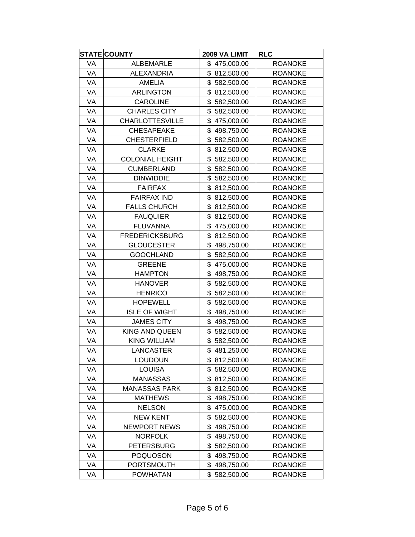|    | <b>STATE COUNTY</b>    | 2009 VA LIMIT    | <b>RLC</b>     |
|----|------------------------|------------------|----------------|
| VA | <b>ALBEMARLE</b>       | \$475,000.00     | <b>ROANOKE</b> |
| VA | <b>ALEXANDRIA</b>      | \$812,500.00     | <b>ROANOKE</b> |
| VA | <b>AMELIA</b>          | \$<br>582,500.00 | <b>ROANOKE</b> |
| VA | <b>ARLINGTON</b>       | \$812,500.00     | <b>ROANOKE</b> |
| VA | <b>CAROLINE</b>        | \$<br>582,500.00 | <b>ROANOKE</b> |
| VA | <b>CHARLES CITY</b>    | \$<br>582,500.00 | <b>ROANOKE</b> |
| VA | <b>CHARLOTTESVILLE</b> | \$<br>475,000.00 | <b>ROANOKE</b> |
| VA | <b>CHESAPEAKE</b>      | \$<br>498,750.00 | <b>ROANOKE</b> |
| VA | <b>CHESTERFIELD</b>    | \$<br>582,500.00 | <b>ROANOKE</b> |
| VA | <b>CLARKE</b>          | \$<br>812,500.00 | <b>ROANOKE</b> |
| VA | <b>COLONIAL HEIGHT</b> | \$<br>582,500.00 | <b>ROANOKE</b> |
| VA | <b>CUMBERLAND</b>      | \$<br>582,500.00 | <b>ROANOKE</b> |
| VA | <b>DINWIDDIE</b>       | \$<br>582,500.00 | <b>ROANOKE</b> |
| VA | <b>FAIRFAX</b>         | \$812,500.00     | <b>ROANOKE</b> |
| VA | <b>FAIRFAX IND</b>     | \$<br>812,500.00 | <b>ROANOKE</b> |
| VA | <b>FALLS CHURCH</b>    | \$<br>812,500.00 | <b>ROANOKE</b> |
| VA | <b>FAUQUIER</b>        | \$<br>812,500.00 | <b>ROANOKE</b> |
| VA | <b>FLUVANNA</b>        | \$475,000.00     | <b>ROANOKE</b> |
| VA | <b>FREDERICKSBURG</b>  | \$812,500.00     | <b>ROANOKE</b> |
| VA | <b>GLOUCESTER</b>      | \$<br>498,750.00 | <b>ROANOKE</b> |
| VA | <b>GOOCHLAND</b>       | \$<br>582,500.00 | <b>ROANOKE</b> |
| VA | <b>GREENE</b>          | \$<br>475,000.00 | <b>ROANOKE</b> |
| VA | <b>HAMPTON</b>         | \$<br>498,750.00 | <b>ROANOKE</b> |
| VA | <b>HANOVER</b>         | \$<br>582,500.00 | <b>ROANOKE</b> |
| VA | <b>HENRICO</b>         | \$<br>582,500.00 | <b>ROANOKE</b> |
| VA | <b>HOPEWELL</b>        | \$<br>582,500.00 | <b>ROANOKE</b> |
| VA | <b>ISLE OF WIGHT</b>   | \$<br>498,750.00 | <b>ROANOKE</b> |
| VA | <b>JAMES CITY</b>      | \$<br>498,750.00 | <b>ROANOKE</b> |
| VA | KING AND QUEEN         | \$<br>582,500.00 | <b>ROANOKE</b> |
| VA | <b>KING WILLIAM</b>    | \$<br>582,500.00 | <b>ROANOKE</b> |
| VA | LANCASTER              | \$481,250.00     | <b>ROANOKE</b> |
| VA | <b>LOUDOUN</b>         | \$812,500.00     | <b>ROANOKE</b> |
| VA | <b>LOUISA</b>          | \$<br>582,500.00 | <b>ROANOKE</b> |
| VA | <b>MANASSAS</b>        | \$812,500.00     | <b>ROANOKE</b> |
| VA | <b>MANASSAS PARK</b>   | \$<br>812,500.00 | <b>ROANOKE</b> |
| VA | <b>MATHEWS</b>         | \$<br>498,750.00 | <b>ROANOKE</b> |
| VA | <b>NELSON</b>          | \$<br>475,000.00 | <b>ROANOKE</b> |
| VA | <b>NEW KENT</b>        | \$<br>582,500.00 | <b>ROANOKE</b> |
| VA | <b>NEWPORT NEWS</b>    | \$<br>498,750.00 | <b>ROANOKE</b> |
| VA | <b>NORFOLK</b>         | \$<br>498,750.00 | <b>ROANOKE</b> |
| VA | <b>PETERSBURG</b>      | \$<br>582,500.00 | <b>ROANOKE</b> |
| VA | POQUOSON               | \$<br>498,750.00 | <b>ROANOKE</b> |
| VA | <b>PORTSMOUTH</b>      | \$<br>498,750.00 | <b>ROANOKE</b> |
| VA | <b>POWHATAN</b>        | \$582,500.00     | <b>ROANOKE</b> |